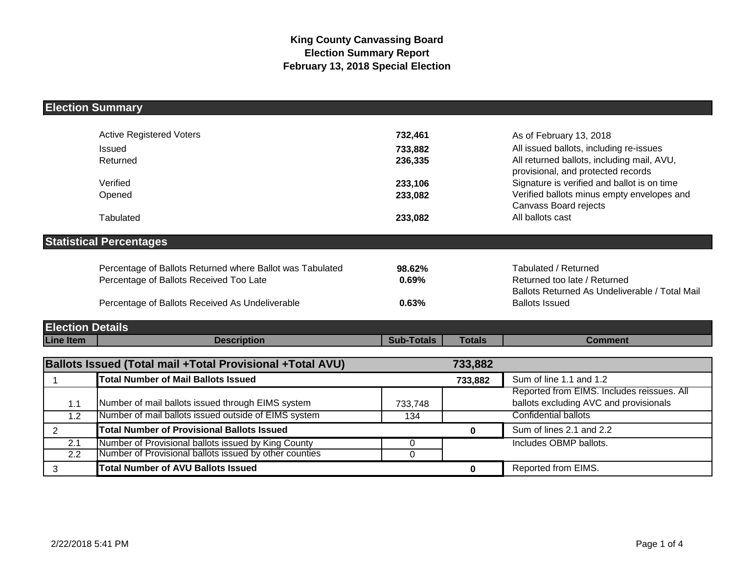# **Election Summary**

|                         | <b>Active Registered Voters</b>                           | 732,461           |               | As of February 13, 2018                                                          |
|-------------------------|-----------------------------------------------------------|-------------------|---------------|----------------------------------------------------------------------------------|
|                         | Issued                                                    | 733,882           |               | All issued ballots, including re-issues                                          |
|                         | Returned                                                  | 236,335           |               | All returned ballots, including mail, AVU,<br>provisional, and protected records |
|                         | Verified                                                  | 233,106           |               | Signature is verified and ballot is on time                                      |
|                         | Opened                                                    | 233,082           |               | Verified ballots minus empty envelopes and<br>Canvass Board rejects              |
|                         | Tabulated                                                 | 233,082           |               | All ballots cast                                                                 |
|                         | <b>Statistical Percentages</b>                            |                   |               |                                                                                  |
|                         |                                                           |                   |               |                                                                                  |
|                         | Percentage of Ballots Returned where Ballot was Tabulated | 98.62%            |               | Tabulated / Returned                                                             |
|                         | Percentage of Ballots Received Too Late                   | 0.69%             |               | Returned too late / Returned<br>Ballots Returned As Undeliverable / Total Mail   |
|                         | Percentage of Ballots Received As Undeliverable           |                   |               | <b>Ballots Issued</b>                                                            |
|                         |                                                           | 0.63%             |               |                                                                                  |
| <b>Election Details</b> |                                                           |                   |               |                                                                                  |
| <b>Line Item</b>        | <b>Description</b>                                        | <b>Sub-Totals</b> | <b>Totals</b> | <b>Comment</b>                                                                   |
|                         | Ballots Issued (Total mail +Total Provisional +Total AVU) |                   | 733,882       |                                                                                  |
| $\overline{1}$          | <b>Total Number of Mail Ballots Issued</b>                |                   | 733,882       | Sum of line 1.1 and 1.2                                                          |
|                         |                                                           |                   |               | Reported from EIMS. Includes reissues. All                                       |
| 1.1                     | Number of mail ballots issued through EIMS system         | 733,748           |               | ballots excluding AVC and provisionals                                           |
| $\overline{1.2}$        | Number of mail ballots issued outside of EIMS system      | 134               |               | <b>Confidential ballots</b>                                                      |
| $\overline{2}$          | <b>Total Number of Provisional Ballots Issued</b>         |                   | $\mathbf 0$   | Sum of lines 2.1 and 2.2                                                         |
| 2.1                     | Number of Provisional ballots issued by King County       | 0                 |               | Includes OBMP ballots.                                                           |
| 2.2                     | Number of Provisional ballots issued by other counties    | $\mathbf 0$       |               |                                                                                  |
| 3                       | <b>Total Number of AVU Ballots Issued</b>                 |                   | $\mathbf 0$   | Reported from EIMS.                                                              |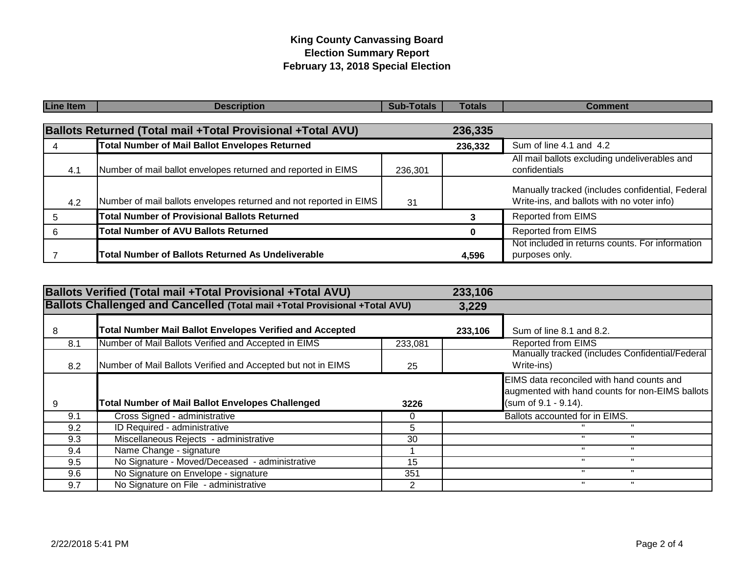## **King County Canvassing Board Election Summary Report February 13, 2018 Special Election**

| <b>Line Item</b> | <b>Description</b>                                                 | <b>Sub-Totals</b> | <b>Totals</b> | <b>Comment</b>                                                                                 |
|------------------|--------------------------------------------------------------------|-------------------|---------------|------------------------------------------------------------------------------------------------|
|                  |                                                                    |                   |               |                                                                                                |
|                  | Ballots Returned (Total mail +Total Provisional +Total AVU)        |                   | 236,335       |                                                                                                |
|                  | <b>Total Number of Mail Ballot Envelopes Returned</b>              |                   | 236,332       | Sum of line 4.1 and 4.2                                                                        |
| 4.1              | Number of mail ballot envelopes returned and reported in EIMS      | 236,301           |               | All mail ballots excluding undeliverables and<br>confidentials                                 |
| 4.2              | Number of mail ballots envelopes returned and not reported in EIMS | 31                |               | Manually tracked (includes confidential, Federal<br>Write-ins, and ballots with no voter info) |
| 5                | <b>Total Number of Provisional Ballots Returned</b>                |                   | 3             | <b>Reported from EIMS</b>                                                                      |
|                  | <b>Total Number of AVU Ballots Returned</b>                        |                   | 0             | <b>Reported from EIMS</b>                                                                      |
|                  | <b>Total Number of Ballots Returned As Undeliverable</b>           |                   | 4,596         | Not included in returns counts. For information<br>purposes only.                              |

|               | <b>Ballots Verified (Total mail +Total Provisional +Total AVU)</b>          |         | 233,106 |                                                                                                                      |
|---------------|-----------------------------------------------------------------------------|---------|---------|----------------------------------------------------------------------------------------------------------------------|
|               | Ballots Challenged and Cancelled (Total mail +Total Provisional +Total AVU) |         | 3,229   |                                                                                                                      |
| 8             | <b>Total Number Mail Ballot Envelopes Verified and Accepted</b>             |         | 233,106 | Sum of line 8.1 and 8.2.                                                                                             |
| 8.1           | Number of Mail Ballots Verified and Accepted in EIMS                        | 233,081 |         | <b>Reported from EIMS</b>                                                                                            |
| 8.2           | Number of Mail Ballots Verified and Accepted but not in EIMS                | 25      |         | Manually tracked (includes Confidential/Federal<br>Write-ins)                                                        |
| 9             | <b>Total Number of Mail Ballot Envelopes Challenged</b>                     | 3226    |         | EIMS data reconciled with hand counts and<br>augmented with hand counts for non-EIMS ballots<br>(sum of 9.1 - 9.14). |
| 9.1           | Cross Signed - administrative                                               | 0       |         | Ballots accounted for in EIMS.                                                                                       |
| 9.2           | ID Required - administrative                                                | 5.      |         |                                                                                                                      |
| 9.3           | Miscellaneous Rejects - administrative                                      | 30      |         |                                                                                                                      |
| 9.4           | Name Change - signature                                                     |         |         | $\mathbf{u}$                                                                                                         |
| $9.5^{\circ}$ | No Signature - Moved/Deceased - administrative                              | 15      |         |                                                                                                                      |
| 9.6           | No Signature on Envelope - signature                                        | 351     |         | $\mathbf{u}$<br>$\mathbf{H}$                                                                                         |
| 9.7           | No Signature on File - administrative                                       | 2       |         |                                                                                                                      |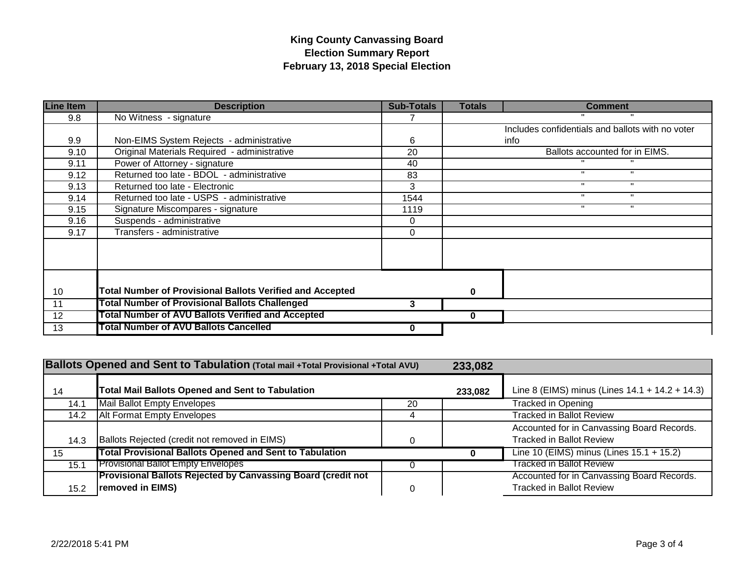## **King County Canvassing Board Election Summary Report February 13, 2018 Special Election**

| <b>Line Item</b> | <b>Description</b>                                               | <b>Sub-Totals</b> | <b>Totals</b> | <b>Comment</b>                                   |
|------------------|------------------------------------------------------------------|-------------------|---------------|--------------------------------------------------|
| 9.8              | No Witness - signature                                           |                   |               |                                                  |
|                  |                                                                  |                   |               | Includes confidentials and ballots with no voter |
| 9.9              | Non-EIMS System Rejects - administrative                         | 6                 |               | info                                             |
| 9.10             | Original Materials Required - administrative                     | 20                |               | Ballots accounted for in EIMS.                   |
| 9.11             | Power of Attorney - signature                                    | 40                |               |                                                  |
| 9.12             | Returned too late - BDOL - administrative                        | 83                |               |                                                  |
| 9.13             | Returned too late - Electronic                                   | 3                 |               |                                                  |
| 9.14             | Returned too late - USPS - administrative                        | 1544              |               | $\mathbf{u}$                                     |
| 9.15             | Signature Miscompares - signature                                | 1119              |               | л.<br>п.                                         |
| 9.16             | Suspends - administrative                                        | 0                 |               |                                                  |
| 9.17             | Transfers - administrative                                       | 0                 |               |                                                  |
|                  |                                                                  |                   |               |                                                  |
|                  |                                                                  |                   |               |                                                  |
|                  |                                                                  |                   |               |                                                  |
| 10               | <b>Total Number of Provisional Ballots Verified and Accepted</b> |                   | 0             |                                                  |
| 11               | <b>Total Number of Provisional Ballots Challenged</b>            | 3                 |               |                                                  |
| 12               | Total Number of AVU Ballots Verified and Accepted                |                   | 0             |                                                  |
| 13               | <b>Total Number of AVU Ballots Cancelled</b>                     | 0                 |               |                                                  |

| Ballots Opened and Sent to Tabulation (Total mail +Total Provisional +Total AVU) |                                                                                  | 233,082 |         |                                                                               |
|----------------------------------------------------------------------------------|----------------------------------------------------------------------------------|---------|---------|-------------------------------------------------------------------------------|
| 14                                                                               | <b>Total Mail Ballots Opened and Sent to Tabulation</b>                          |         | 233,082 | Line 8 (EIMS) minus (Lines 14.1 + 14.2 + 14.3)                                |
| 14.1                                                                             | Mail Ballot Empty Envelopes                                                      | 20      |         | Tracked in Opening                                                            |
| 14.2                                                                             | <b>Alt Format Empty Envelopes</b>                                                | 4       |         | Tracked in Ballot Review                                                      |
| 14.3                                                                             | Ballots Rejected (credit not removed in EIMS)                                    |         |         | Accounted for in Canvassing Board Records.<br><b>Tracked in Ballot Review</b> |
| 15                                                                               | <b>Total Provisional Ballots Opened and Sent to Tabulation</b>                   |         |         | Line 10 (EIMS) minus (Lines 15.1 + 15.2)                                      |
| 15.1                                                                             | <b>Provisional Ballot Empty Envelopes</b>                                        |         |         | <b>Tracked in Ballot Review</b>                                               |
| 15.2                                                                             | Provisional Ballots Rejected by Canvassing Board (credit not<br>removed in EIMS) | 0       |         | Accounted for in Canvassing Board Records.<br><b>Tracked in Ballot Review</b> |